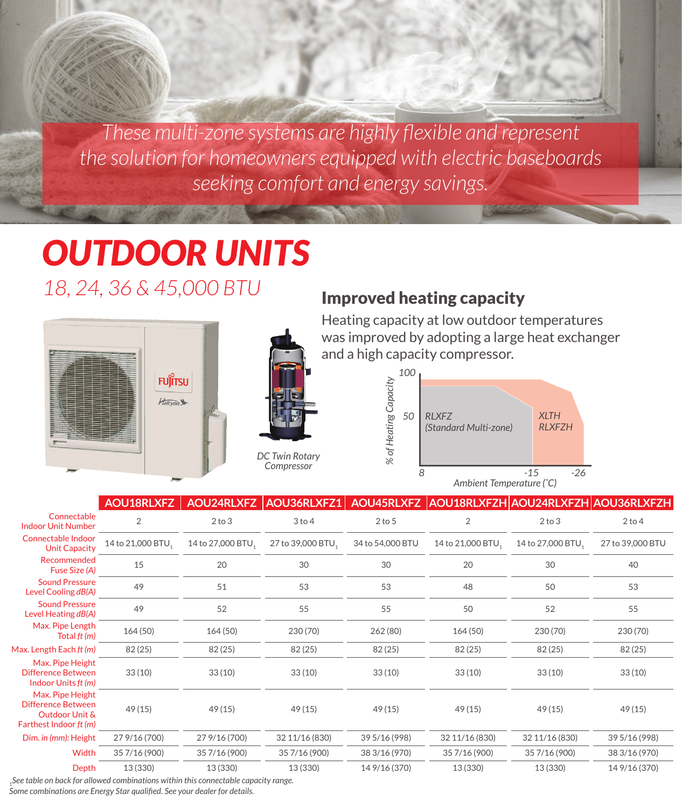*These multi-zone systems are highly flexible and represent the solution for homeowners equipped with electric baseboards seeking comfort and energy savings.*

# *OUTDOOR UNITS 18, 24, 36 & 45,000 BTU*



# *DC Twin Rotary Compressor*

### Improved heating capacity

Heating capacity at low outdoor temperatures was improved by adopting a large heat exchanger and a high capacity compressor.



|                                                                                           | AOU18RLXFZ        | AOU24RLXFZ        | AOU36RLXFZ1 AOU45RLXFZ AOU18RLXFZH AOU24RLXFZH AOU36RLXFZH |                  |                   |                   |                  |
|-------------------------------------------------------------------------------------------|-------------------|-------------------|------------------------------------------------------------|------------------|-------------------|-------------------|------------------|
| Connectable<br><b>Indoor Unit Number</b>                                                  | $\overline{2}$    | $2$ to $3$        | $3$ to $4$                                                 | $2$ to $5$       | $\overline{2}$    | $2$ to $3$        | $2$ to $4$       |
| Connectable Indoor<br><b>Unit Capacity</b>                                                | 14 to 21,000 BTU, | 14 to 27,000 BTU, | 27 to 39,000 BTU,                                          | 34 to 54,000 BTU | 14 to 21,000 BTU, | 14 to 27,000 BTU, | 27 to 39,000 BTU |
| Recommended<br>Fuse Size (A)                                                              | 15                | 20                | 30                                                         | 30               | 20                | 30                | 40               |
| <b>Sound Pressure</b><br>Level Cooling dB(A)                                              | 49                | 51                | 53                                                         | 53               | 48                | 50                | 53               |
| <b>Sound Pressure</b><br>Level Heating dB(A)                                              | 49                | 52                | 55                                                         | 55               | 50                | 52                | 55               |
| Max. Pipe Length<br>Total ft (m)                                                          | 164(50)           | 164(50)           | 230 (70)                                                   | 262 (80)         | 164(50)           | 230 (70)          | 230 (70)         |
| Max. Length Each ft (m)                                                                   | 82(25)            | 82(25)            | 82(25)                                                     | 82(25)           | 82(25)            | 82(25)            | 82(25)           |
| Max. Pipe Height<br>Difference Between<br>Indoor Units ft (m)                             | 33(10)            | 33(10)            | 33(10)                                                     | 33(10)           | 33(10)            | 33(10)            | 33(10)           |
| Max. Pipe Height<br><b>Difference Between</b><br>Outdoor Unit &<br>Farthest Indoor ft (m) | 49(15)            | 49(15)            | 49(15)                                                     | 49(15)           | 49(15)            | 49(15)            | 49(15)           |
| Dim. in (mm): Height                                                                      | 27 9/16 (700)     | 27 9/16 (700)     | 32 11/16 (830)                                             | 39 5/16 (998)    | 32 11/16 (830)    | 32 11/16 (830)    | 39 5/16 (998)    |
| Width                                                                                     | 35 7/16 (900)     | 35 7/16 (900)     | 35 7/16 (900)                                              | 38 3/16 (970)    | 35 7/16 (900)     | 35 7/16 (900)     | 38 3/16 (970)    |
| Depth                                                                                     | 13 (330)          | 13 (330)          | 13 (330)                                                   | 14 9/16 (370)    | 13 (330)          | 13 (330)          | 14 9/16 (370)    |

*1See table on back for allowed combinations within this connectable capacity range.*

*Some combinations are Energy Star qualified. See your dealer for details.*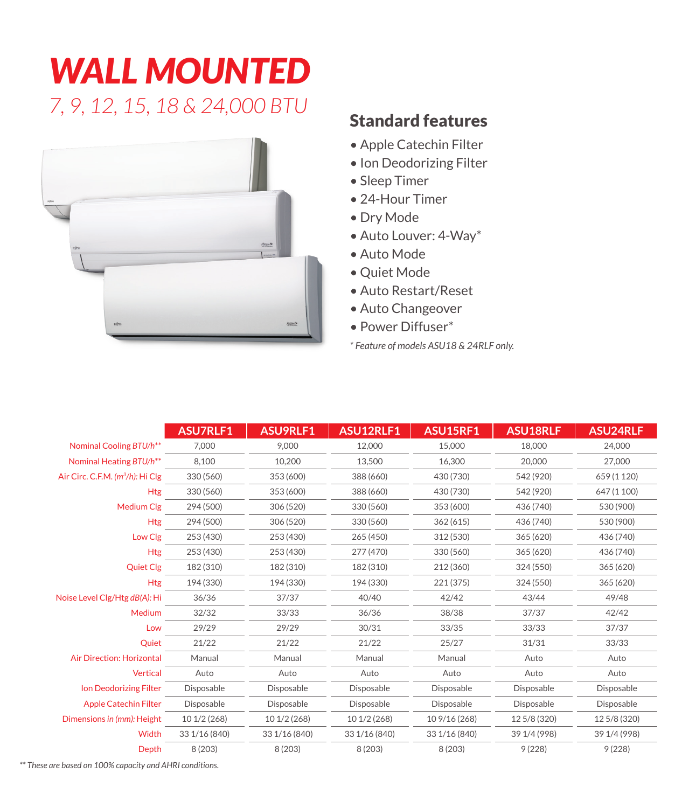# *WALL MOUNTED 7, 9, 12, 15, 18 & 24,000 BTU* Standard features



- Apple Catechin Filter
- Ion Deodorizing Filter
- Sleep Timer
- 24-Hour Timer
- Dry Mode
- Auto Louver: 4-Way\*
- Auto Mode
- Quiet Mode
- Auto Restart/Reset
- Auto Changeover
- Power Diffuser\*
- *\* Feature of models ASU18 & 24RLF only.*

|                                              | <b>ASU7RLF1</b> | ASU9RLF1      | ASU12RLF1     | ASU15RF1      | <b>ASU18RLF</b> | ASU24RLF     |
|----------------------------------------------|-----------------|---------------|---------------|---------------|-----------------|--------------|
| Nominal Cooling BTU/h <sup>**</sup>          | 7.000           | 9.000         | 12,000        | 15,000        | 18,000          | 24.000       |
| Nominal Heating BTU/h <sup>**</sup>          | 8,100           | 10,200        | 13,500        | 16,300        | 20,000          | 27,000       |
| Air Circ. C.F.M. (m <sup>3</sup> /h): Hi Clg | 330 (560)       | 353 (600)     | 388 (660)     | 430 (730)     | 542 (920)       | 659 (1 120)  |
| <b>Htg</b>                                   | 330 (560)       | 353 (600)     | 388 (660)     | 430 (730)     | 542 (920)       | 647 (1 100)  |
| Medium Clg                                   | 294 (500)       | 306 (520)     | 330 (560)     | 353 (600)     | 436 (740)       | 530 (900)    |
| <b>Htg</b>                                   | 294 (500)       | 306 (520)     | 330 (560)     | 362(615)      | 436 (740)       | 530 (900)    |
| Low Clg                                      | 253 (430)       | 253 (430)     | 265 (450)     | 312 (530)     | 365 (620)       | 436 (740)    |
| <b>Htg</b>                                   | 253 (430)       | 253 (430)     | 277 (470)     | 330 (560)     | 365 (620)       | 436 (740)    |
| <b>Quiet Clg</b>                             | 182 (310)       | 182 (310)     | 182 (310)     | 212 (360)     | 324 (550)       | 365 (620)    |
| <b>Htg</b>                                   | 194 (330)       | 194 (330)     | 194 (330)     | 221 (375)     | 324 (550)       | 365 (620)    |
| Noise Level Clg/Htg dB(A): Hi                | 36/36           | 37/37         | 40/40         | 42/42         | 43/44           | 49/48        |
| Medium                                       | 32/32           | 33/33         | 36/36         | 38/38         | 37/37           | 42/42        |
| Low                                          | 29/29           | 29/29         | 30/31         | 33/35         | 33/33           | 37/37        |
| Quiet                                        | 21/22           | 21/22         | 21/22         | 25/27         | 31/31           | 33/33        |
| Air Direction: Horizontal                    | Manual          | Manual        | Manual        | Manual        | Auto            | Auto         |
| <b>Vertical</b>                              | Auto            | Auto          | Auto          | Auto          | Auto            | Auto         |
| Ion Deodorizing Filter                       | Disposable      | Disposable    | Disposable    | Disposable    | Disposable      | Disposable   |
| <b>Apple Catechin Filter</b>                 | Disposable      | Disposable    | Disposable    | Disposable    | Disposable      | Disposable   |
| Dimensions in (mm): Height                   | 10 1/2 (268)    | 10 1/2 (268)  | 10 1/2 (268)  | 10 9/16 (268) | 12 5/8 (320)    | 12 5/8 (320) |
| Width                                        | 33 1/16 (840)   | 33 1/16 (840) | 33 1/16 (840) | 33 1/16 (840) | 39 1/4 (998)    | 39 1/4 (998) |
| Depth                                        | 8 (203)         | 8 (203)       | 8(203)        | 8(203)        | 9(228)          | 9(228)       |

*\*\* These are based on 100% capacity and AHRI conditions.*